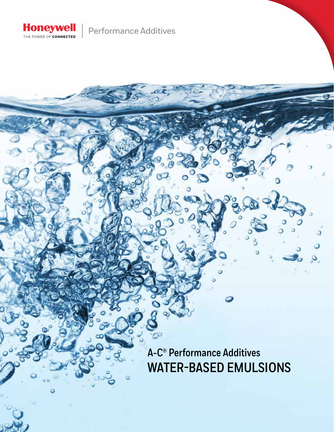

Performance Additives

**A-C® Performance Additives WATER-BASED EMULSIONS**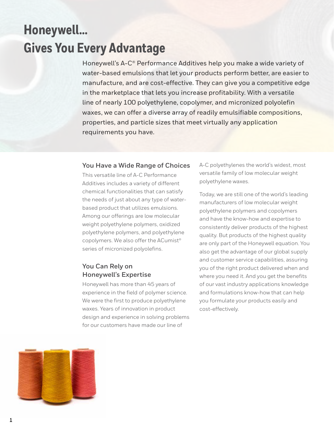# **Honeywell… Gives You Every Advantage**

Honeywell's A-C® Performance Additives help you make a wide variety of water-based emulsions that let your products perform better, are easier to manufacture, and are cost-effective. They can give you a competitive edge in the marketplace that lets you increase profitability. With a versatile line of nearly 100 polyethylene, copolymer, and micronized polyolefin waxes, we can offer a diverse array of readily emulsifiable compositions, properties, and particle sizes that meet virtually any application requirements you have.

#### **You Have a Wide Range of Choices**

This versatile line of A-C Performance Additives includes a variety of different chemical functionalities that can satisfy the needs of just about any type of waterbased product that utilizes emulsions. Among our offerings are low molecular weight polyethylene polymers, oxidized polyethylene polymers, and polyethylene copolymers. We also offer the ACumist® series of micronized polyolefins.

## **You Can Rely on Honeywell's Expertise**

Honeywell has more than 45 years of experience in the field of polymer science. We were the first to produce polyethylene waxes. Years of innovation in product design and experience in solving problems for our customers have made our line of

A-C polyethylenes the world's widest, most versatile family of low molecular weight polyethylene waxes.

Today, we are still one of the world's leading manufacturers of low molecular weight polyethylene polymers and copolymers and have the know-how and expertise to consistently deliver products of the highest quality. But products of the highest quality are only part of the Honeywell equation. You also get the advantage of our global supply and customer service capabilities, assuring you of the right product delivered when and where you need it. And you get the benefits of our vast industry applications knowledge and formulations know-how that can help you formulate your products easily and cost-effectively.

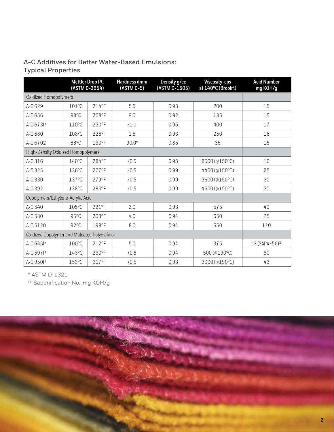## **A-C Additives for Better Water-Based Emulsions: Typical Properties**

|                                             |                 | Mettler Drop Pt.<br>(ASTM D-3954) | Hardness dmm<br>(ASTM D-5) | <b>Density g/cc</b><br>(ASTM D-1505) | Viscosity-cps<br>at 140°C (Brookf.) | <b>Acid Number</b><br>mg KOH/g |
|---------------------------------------------|-----------------|-----------------------------------|----------------------------|--------------------------------------|-------------------------------------|--------------------------------|
| Oxidized Homopolymers                       |                 |                                   |                            |                                      |                                     |                                |
| A-C 629                                     | 101°C           | 214°F                             | 5.5                        | 0.93                                 | 200                                 | 15                             |
| A-C 656                                     | $98^{\circ}$ C  | 208°F                             | 9.0                        | 0.92                                 | 185                                 | 15                             |
| A-C 673P                                    | 110°C           | 230°F                             | <1.0                       | 0.95                                 | 400                                 | 17                             |
| A-C 680                                     | 108°C           | 226°F                             | 1.5                        | 0.93                                 | 250                                 | 16                             |
| A-C 6702                                    | 88°C            | 190°F                             | $90.0*$                    | 0.85                                 | 35                                  | 15                             |
| High-Density Oxidized Homopolymers          |                 |                                   |                            |                                      |                                     |                                |
| A-C 316                                     | $140^{\circ}$ C | 284°F                             | 0.5                        | 0.98                                 | 8500 (@150°C)                       | 16                             |
| A-C 325                                     | 136°C           | 277°F                             | 0.5                        | 0.99                                 | 4400 (@150°C)                       | 25                             |
| A-C 330                                     | 137°C           | 279°F                             | 0.5                        | 0.99                                 | 3600 (@150°C)                       | 30                             |
| A-C 392                                     | 138°C           | 280°F                             | 0.5                        | 0.99                                 | 4500 (@150°C)                       | 30                             |
| Copolymers/Ethylene-Acrylic Acid            |                 |                                   |                            |                                      |                                     |                                |
| A-C 540                                     | 105°C           | 221°F                             | 2.0                        | 0.93                                 | 575                                 | 40                             |
| A-C 580                                     | 95°C            | 203°F                             | 4.0                        | 0.94                                 | 650                                 | 75                             |
| A-C 5120                                    | $92^{\circ}$ C  | 198°F                             | 8.0                        | 0.94                                 | 650                                 | 120                            |
| Oxidized Copolymer and Maleated Polyolefins |                 |                                   |                            |                                      |                                     |                                |
| A-C 645P                                    | 100°C           | 212°F                             | 5.0                        | 0.94                                 | 375                                 | 13 (SAP#=56) <sup>(1)</sup>    |
| A-C 597P                                    | 143°C           | 290°F                             | 0.5                        | 0.94                                 | 500 (@190°C)                        | 80                             |
| A-C 950P                                    | 153°C           | 307°F                             | 0.5                        | 0.93                                 | 2000 (@190°C)                       | 43                             |

\* ASTM D-1321

(1) Saponification No., mg KOH/g

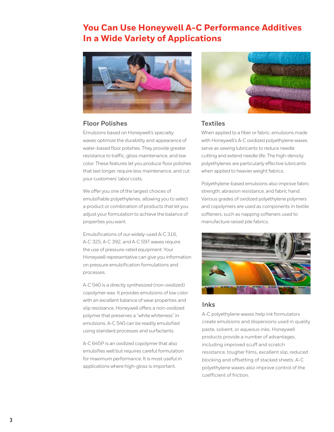# **You Can Use Honeywell A-C Performance Additives In a Wide Variety of Applications**



#### **Floor Polishes**

Emulsions based on Honeywell's specialty waxes optimize the durability and appearance of water-based floor polishes. They provide greater resistance to traffic, gloss maintenance, and low color. These features let you produce floor polishes that last longer, require less maintenance, and cut your customers' labor costs.

We offer you one of the largest choices of emulsifiable polyethylenes, allowing you to select a product or combination of products that let you adjust your formulation to achieve the balance of properties you want.

Emulsifications of our widely-used A-C 316, A-C 325, A-C 392, and A-C 597 waxes require the use of pressure-rated equipment. Your Honeywell representative can give you information on pressure emulsification formulations and processes.

A-C 540 is a directly synthesized (non-oxidized) copolymer wax. It provides emulsions of low color with an excellent balance of wear properties and slip resistance. Honeywell offers a non-oxidized polymer that preserves a "white whiteness" in emulsions. A-C 540 can be readily emulsified using standard processes and surfactants.

A-C 645P is an oxidized copolymer that also emulsifies well but requires careful formulation for maximum performance. It is most useful in applications where high-gloss is important.



#### **Textiles**

When applied to a fiber or fabric, emulsions made with Honeywell's A-C oxidized polyethylene waxes serve as sewing lubricants to reduce needle cutting and extend needle life. The high-density polyethylenes are particularly effective lubricants when applied to heavier weight fabrics.

Polyethylene-based emulsions also improve fabric strength, abrasion resistance, and fabric hand. Various grades of oxidized polyethylene polymers and copolymers are used as components in textile softeners, such as napping softeners used to manufacture raised pile fabrics.



#### **Inks**

A-C polyethylene waxes help ink formulators create emulsions and dispersions used in quality paste, solvent, or aqueous inks. Honeywell products provide a number of advantages, including improved scuff and scratch resistance, tougher films, excellent slip, reduced blocking and offsetting of stacked sheets. A-C polyethylene waxes also improve control of the coefficient of friction.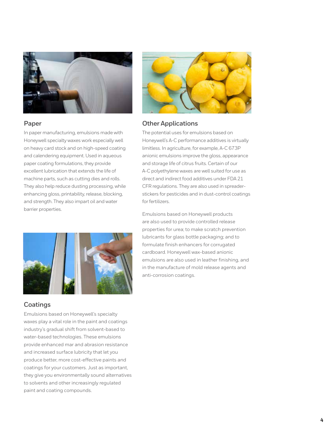

#### **Paper**

In paper manufacturing, emulsions made with Honeywell specialty waxes work especially well on heavy card stock and on high-speed coating and calendering equipment. Used in aqueous paper coating formulations, they provide excellent lubrication that extends the life of machine parts, such as cutting dies and rolls. They also help reduce dusting processing, while enhancing gloss, printability, release, blocking, and strength. They also impart oil and water barrier properties.



## **Coatings**

Emulsions based on Honeywell's specialty waxes play a vital role in the paint and coatings industry's gradual shift from solvent-based to water-based technologies. These emulsions provide enhanced mar and abrasion resistance and increased surface lubricity that let you produce better, more cost-effective paints and coatings for your customers. Just as important, they give you environmentally sound alternatives to solvents and other increasingly regulated paint and coating compounds.



#### **Other Applications**

The potential uses for emulsions based on Honeywell's A-C performance additives is virtually limitless. In agriculture, for example, A-C 673P anionic emulsions improve the gloss, appearance and storage life of citrus fruits. Certain of our A-C polyethylene waxes are well suited for use as direct and indirect food additives under FDA 21 CFR regulations. They are also used in spreaderstickers for pesticides and in dust-control coatings for fertilizers.

Emulsions based on Honeywell products are also used to provide controlled release properties for urea; to make scratch prevention lubricants for glass bottle packaging; and to formulate finish enhancers for corrugated cardboard. Honeywell wax-based anionic emulsions are also used in leather finishing, and in the manufacture of mold release agents and anti-corrosion coatings.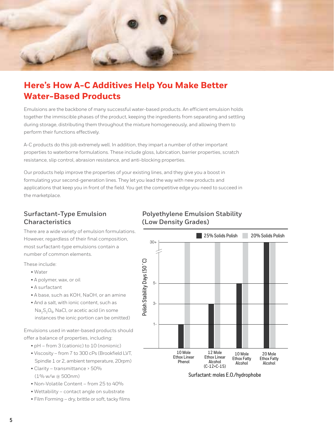

# **Here's How A-C Additives Help You Make Better Water-Based Products**

Emulsions are the backbone of many successful water-based products. An efficient emulsion holds together the immiscible phases of the product, keeping the ingredients from separating and settling during storage, distributing them throughout the mixture homogeneously, and allowing them to perform their functions effectively.

A-C products do this job extremely well. In addition, they impart a number of other important properties to waterborne formulations. These include gloss, lubrication, barrier properties, scratch resistance, slip control, abrasion resistance, and anti-blocking properties.

Our products help improve the properties of your existing lines, and they give you a boost in formulating your second-generation lines. They let you lead the way with new products and applications that keep you in front of the field. You get the competitive edge you need to succeed in the marketplace.

## **Surfactant-Type Emulsion Characteristics**

There are a wide variety of emulsion formulations. However, regardless of their final composition, most surfactant-type emulsions contain a number of common elements.

These include:

- Water
- A polymer, wax, or oil
- A surfactant
- A base, such as KOH, NaOH, or an amine
- And a salt, with ionic content, such as Na<sub>2</sub>S<sub>2</sub>O<sub>5</sub>, NaCl, or acetic acid (in some instances the ionic portion can be omitted)

Emulsions used in water-based products should offer a balance of properties, including:

- pH from 3 (cationic) to 10 (nonionic)
- Viscosity from 7 to 300 cPs (Brookfield LVT, Spindle 1 or 2, ambient temperature, 20rpm)
- Clarity transmittance > 50%  $(1\%$  w/w @ 500nm)
- Non-Volatile Content from 25 to 40%
- Wettability contact angle on substrate
- Film Forming dry, brittle or soft, tacky films

#### **Polyethylene Emulsion Stability (Low Density Grades)**



Surfactant: moles E.O./hydrophobe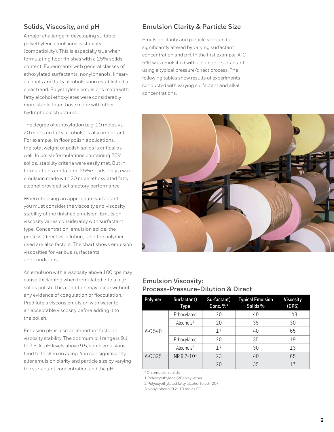## **Solids, Viscosity, and pH**

A major challenge in developing suitable polyethylene emulsions is stability (compatibility). This is especially true when formulating floor finishes with a 25% solids content. Experiments with general classes of ethoxylated surfactants, nonylphenols, linearalcohols and fatty alcohols soon established a clear trend. Polyethylene emulsions made with fatty alcohol ethoxylates were considerably more stable than those made with other hydrophobic structures.

The degree of ethoxylation (e.g. 10 moles vs. 20 moles on fatty alcohols) is also important. For example, in floor polish applications, the total weight of polish solids is critical as well. In polish formulations containing 20% solids, stability criteria were easily met. But in formulations containing 25% solids, only a wax emulsion made with 20 mole ethoxylated fatty alcohol provided satisfactory performance.

When choosing an appropriate surfactant, you must consider the viscosity and viscosity stability of the finished emulsion. Emulsion viscosity varies considerably with surfactant type. Concentration, emulsion solids, the process (direct vs. dilution), and the polymer used are also factors. The chart shows emulsion viscosities for various surfactants and conditions.

An emulsion with a viscosity above 100 cps may cause thickening when formulated into a high solids polish. This condition may occur without any evidence of coagulation or flocculation. Predilute a viscous emulsion with water to an acceptable viscosity before adding it to the polish.

Emulsion pH is also an important factor in viscosity stability. The optimum pH range is 9.1 to 9.5. At pH levels above 9.5, some emulsions tend to thicken on aging. You can significantly alter emulsion clarity and particle size by varying the surfactant concentration and the pH.

## **Emulsion Clarity & Particle Size**

Emulsion clarity and particle size can be significantly altered by varying surfactant concentration and pH. In the first example, A-C 540 was emulsified with a nonionic surfactant using a typical pressure/direct process. The following tables show results of experiments conducted with varying surfactant and alkali concentrations.



## **Emulsion Viscosity: Process-Pressure-Dilution & Direct**

| <b>Polymer</b> | Surfactant)<br>Type    | Surfactant)<br>Conc. %* | <b>Typical Emulsion</b><br>Solids% | <b>Viscosity</b><br>(CPS) |
|----------------|------------------------|-------------------------|------------------------------------|---------------------------|
|                | Ethoxylated            | 20                      | 40                                 | 143                       |
|                | Alcohols $1$           | 20                      | 35                                 | 30                        |
| A-C 540        |                        | 17                      | 40                                 | 65                        |
|                | Ethoxylated            | 20                      | 35                                 | 19                        |
|                | Alcohols <sup>2</sup>  | 17                      | 30                                 | 13                        |
| A-C 325        | NP 9.2-10 <sup>3</sup> | 23                      | 40                                 | 65                        |
|                |                        | 20                      | 35                                 | 17                        |

\* On emulsion solids

1 Polyoxyethylene (20) oleyl ether

2 Polyoxyethylated fatty alcohol (oleth-20)

3 Nonyl phenol 9.2- 10 moles EO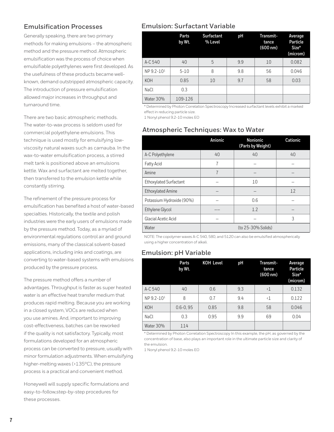## **Emulsification Processes**

Generally speaking, there are two primary methods for making emulsions – the atmospheric method and the pressure method. Atmospheric emulsification was the process of choice when emulsifiable polyethylenes were first developed. As the usefulness of these products became wellknown, demand outstripped atmospheric capacity. The introduction of pressure emulsification allowed major increases in throughput and turnaround time.

There are two basic atmospheric methods. The water-to-wax process is seldom used for commercial polyethylene emulsions. This technique is used mostly for emulsifying lowviscosity natural waxes such as carnauba. In the wax-to-water emulsification process, a stirred melt tank is positioned above an emulsions kettle. Wax and surfactant are melted together, then transferred to the emulsion kettle while constantly stirring.

The refinement of the pressure process for emulsification has benefited a host of water-based specialties. Historically, the textile and polish industries were the early users of emulsions made by the pressure method. Today, as a myriad of environmental regulations control air and ground emissions, many of the classical solvent-based applications, including inks and coatings, are converting to water-based systems with emulsions produced by the pressure process.

The pressure method offers a number of advantages. Throughput is faster as super heated water is an effective heat transfer medium that produces rapid melting. Because you are working in a closed system, VOCs are reduced when you use amines. And, important to improving cost-effectiveness, batches can be reworked if the quality is not satisfactory. Typically, most formulations developed for an atmospheric process can be converted to pressure, usually with minor formulation adjustments. When emulsifying higher-melting waxes (>135°C), the pressure process is a practical and convenient method.

Honeywell will supply specific formulations and easy-to-follow,step-by-step procedures for these processes.

## **Emulsion: Surfactant Variable**

|                | Parts<br>by Wt. | <b>Surfactant</b><br>% Level | рH  | Transmit-<br>tance<br>(600 nm) | Average<br>Particle<br>Size*<br>(microm) |
|----------------|-----------------|------------------------------|-----|--------------------------------|------------------------------------------|
| A-C 540        | 40              | 5                            | 9.9 | 10                             | 0.082                                    |
| $NP 9.2 - 101$ | $5 - 10$        | 8                            | 9.8 | 56                             | 0.046                                    |
| <b>KOH</b>     | 0.85            | 10                           | 9.7 | 58                             | 0.03                                     |
| <b>NaCl</b>    | 0.3             |                              |     |                                |                                          |
| Water 30%      | 109-126         |                              |     |                                |                                          |

\* Determined by Photon Correlation Spectroscopy Increased surfactant levels exhibit a marked effect in reducing particle size.

1 Nonyl phenol 9.2-10 moles EO

#### **Atmospheric Techniques: Wax to Water**

|                               | Anionic | <b>Nonionic</b><br>(Parts by Weight) | Cationic |
|-------------------------------|---------|--------------------------------------|----------|
| A-C Polyethylene              | 40      | 40                                   | 40       |
| <b>Fatty Acid</b>             | 7       |                                      |          |
| Amine                         | 7       |                                      |          |
| <b>Ethoxylated Surfactant</b> |         | 10                                   |          |
| <b>Ethoxylated Amine</b>      |         |                                      | 12       |
| Potassium Hydroxide (90%)     |         | 0.6                                  |          |
| Ethylene Glycol               |         | 1.2                                  |          |
| Glacial Acetic Acid           |         |                                      | 3        |
| Water                         |         | (to 25-30% Solids)                   |          |

NOTE: The copolymer waxes A-C 540, 580, and 5120 can also be emulsified atmospherically using a higher concentration of alkali.

## **Emulsion: pH Variable**

|                        | Parts<br>by Wt. | <b>KOH Level</b> | рH  | Transmit-<br>tance<br>(600 nm) | Average<br>Particle<br>Size*<br>(microm) |
|------------------------|-----------------|------------------|-----|--------------------------------|------------------------------------------|
| A-C 540                | 40              | 0.6              | 9.3 | $\langle$ 1                    | 0.132                                    |
| NP 9.2-10 <sup>1</sup> | 8               | 0.7              | 9.4 | $\langle$ 1                    | 0.122                                    |
| <b>KOH</b>             | $0.6 - 0.95$    | 0.85             | 9.8 | 58                             | 0.046                                    |
| <b>NaCl</b>            | 0.3             | 0.95             | 9.9 | 69                             | 0.04                                     |
| Water 30%              | 114             |                  |     |                                |                                          |

\* Determined by Photon Correlation Spectroscopy In this example, the pH, as governed by the concentration of base, also plays an important role in the ultimate particle size and clarity of the emulsion.

1 Nonyl phenol 9.2-10 moles EO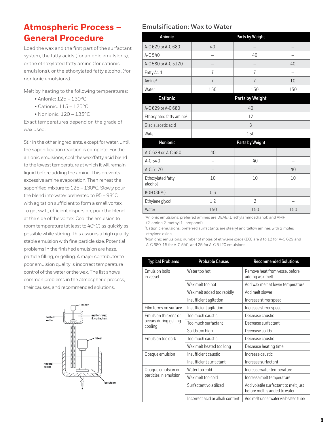## **Atmospheric Process – General Procedure**

Load the wax and the first part of the surfactant system, the fatty acids (for anionic emulsions), or the ethoxylated fatty amine (for cationic emulsions), or the ethoxylated fatty alcohol (for nonionic emulsions).

Melt by heating to the following temperatures:

- Anionic: 125 130°C
- Cationic: 115 125°C
- Nonionic: 120 135°C

Exact temperatures depend on the grade of wax used.

Stir in the other ingredients, except for water, until the saponification reaction is complete. For the anionic emulsions, cool the wax/fatty acid blend to the lowest temperature at which it will remain liquid before adding the amine. This prevents excessive amine evaporation. Then reheat the saponified mixture to 125 – 130°C. Slowly pour the blend into water preheated to 95 – 98°C with agitation sufficient to form a small vortex. To get swift, efficient dispersion, pour the blend at the side of the vortex. Cool the emulsion to room temperature (at least to 40°C) as quickly as possible while stirring. This assures a high quality, stable emulsion with fine particle size. Potential problems in the finished emulsion are haze, particle filling, or gelling. A major contributor to poor emulsion quality is incorrect temperature control of the water or the wax. The list shows common problems in the atmospheric process, their causes, and recommended solutions.



#### **Emulsification: Wax to Water**

| Anionic                                   |                                                                        | Parts by Weight |                        |  |  |
|-------------------------------------------|------------------------------------------------------------------------|-----------------|------------------------|--|--|
| A-C 629 or A-C 680                        | 40                                                                     |                 |                        |  |  |
| A-C 540                                   |                                                                        | 40              |                        |  |  |
| A-C 580 or A-C 5120                       |                                                                        |                 | 40                     |  |  |
| Fatty Acid                                | 7                                                                      | 7               |                        |  |  |
| Amine <sup>1</sup>                        | $\overline{1}$                                                         | $\overline{1}$  | 10                     |  |  |
| Water                                     | 150                                                                    | 150             | 150                    |  |  |
| Cationic                                  |                                                                        | Parts by Weight |                        |  |  |
| A-C 629 or A-C 680                        |                                                                        | 40              |                        |  |  |
| Ethoxylated fatty amine <sup>2</sup>      | 12                                                                     |                 |                        |  |  |
| Glacial acetic acid                       | 3                                                                      |                 |                        |  |  |
| Water                                     | 150                                                                    |                 |                        |  |  |
| Nonionic                                  |                                                                        | Parts by Weight |                        |  |  |
| A-C 629 or A-C 680                        | 40                                                                     |                 |                        |  |  |
| A-C 540                                   |                                                                        | 40              |                        |  |  |
| A-C 5120                                  |                                                                        |                 | 40                     |  |  |
| Ethoxylated fatty<br>alcohol <sup>3</sup> | 10                                                                     | 10              | 10                     |  |  |
| KOH (86%)                                 | 0.6                                                                    |                 |                        |  |  |
| Ethylene glycol                           | 1.2                                                                    | $\overline{2}$  |                        |  |  |
| Water<br>$\epsilon$<br>$\sim$ $\sim$      | 150<br><b>Contract Contract</b><br>$D = \{F \mid F \in \mathcal{F} \}$ | 150             | 150<br>$1.65 \pm 0.02$ |  |  |

1Anionic emulsions: preferred amines are DEAE (Diethylaminoethanol) and AMP (2-amino 2-methyl 1- propanol)

<sup>2</sup>Cationic emulsions: preferred surfactants are stearyl and tallow amines with 2 moles ethylene oxide

3Nonionic emulsions: number of moles of ethylene oxide (EO) are 9 to 12 for A-C 629 and A-C 680, 15 for A-C 540, and 25 for A-C 5120 emulsions

| <b>Typical Problems</b>     | <b>Probable Causes</b>           | <b>Recommended Solutions</b>                                          |
|-----------------------------|----------------------------------|-----------------------------------------------------------------------|
| Emulsion boils<br>in vessel | Water too hot                    | Remove heat from vessel before<br>adding wax melt                     |
|                             | Wax melt too hot                 | Add wax melt at lower temperature                                     |
|                             | Wax melt added too rapidly       | Add melt slower                                                       |
|                             | Insufficient agitation           | Increase stirrer speed                                                |
| Film forms on surface       | Insufficient agitation           | Increase stirrer speed                                                |
| Emulsion thickens or        | Too much caustic                 | Decrease caustic                                                      |
| occurs during gelling       | Too much surfactant              | Decrease surfactant                                                   |
| cooling                     | Solids too high                  | Decrease solids                                                       |
| Emulsion too dark           | Too much caustic                 | Decrease caustic                                                      |
|                             | Wax melt heated too long         | Decrease heating time                                                 |
| Opaque emulsion             | Insufficient caustic             | Increase caustic                                                      |
|                             | Insufficient surfactant          | Increase surfactant                                                   |
| Opaque emulsion or          | Water too cold                   | Increase water temperature                                            |
| particles in emulsion       | Wax melt too cold                | Increase melt temperature                                             |
|                             | Surfactant volatilized           | Add volatile surfactant to melt just<br>before melt is added to water |
|                             | Incorrect acid or alkali content | Add melt under water via heated tube                                  |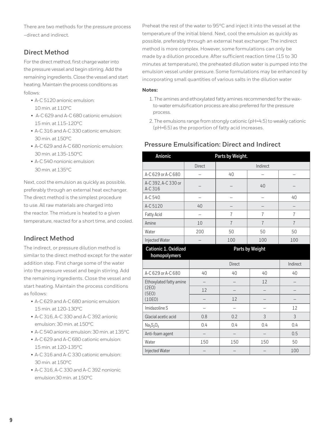There are two methods for the pressure process –direct and indirect.

## **Direct Method**

For the direct method, first charge water into the pressure vessel and begin stirring. Add the remaining ingredients. Close the vessel and start heating. Maintain the process conditions as follows:

- A-C 5120 anionic emulsion: 10 min. at 110°C
- A-C 629 and A-C 680 cationic emulsion: 15 min. at 115-120°C
- A-C 316 and A-C 330 cationic emulsion: 30 min. at 150°C
- A-C 629 and A-C 680 nonionic emulsion: 30 min. at 135-150°C
- A-C 540 nonionic emulsion: 30 min. at 135°C

Next, cool the emulsion as quickly as possible, preferably through an external heat exchanger. The direct method is the simplest procedure to use. All raw materials are charged into the reactor. The mixture is heated to a given temperature, reacted for a short time, and cooled.

## **Indirect Method**

The indirect, or pressure dilution method is similar to the direct method except for the water addition step. First charge some of the water into the pressure vessel and begin stirring. Add the remaining ingredients. Close the vessel and start heating. Maintain the process conditions as follows:

- A-C 629 and A-C 680 anionic emulsion: 15 min. at 120-130°C
- A-C 316, A-C 330 and A-C 392 anionic emulsion: 30 min. at 150°C
- A-C 540 anionic emulsion: 30 min. at 135°C
- A-C 629 and A-C 680 cationic emulsion: 15 min. at 120-135°C
- A-C 316 and A-C 330 cationic emulsion: 30 min. at 150°C
- A-C 316, A-C 330 and A-C 392 nonionic emulsion:30 min. at 150°C

Preheat the rest of the water to 95°C and inject it into the vessel at the temperature of the initial blend. Next, cool the emulsion as quickly as possible, preferably through an external heat exchanger. The indirect method is more complex. However, some formulations can only be made by a dilution procedure. After sufficient reaction time (15 to 30 minutes at temperature), the preheated dilution water is pumped into the emulsion vessel under pressure. Some formulations may be enhanced by incorporating small quantities of various salts in the dilution water

#### **Notes:**

- 1. The amines and ethoxylated fatty amines recommended for the waxto-water emulsification process are also preferred for the pressure process.
- 2. The emulsions range from strongly cationic (pH=4.5) to weakly cationic (pH=6.5) as the proportion of fatty acid increases.

#### **Pressure Emulsification: Direct and Indirect**

| Anionic                                     | Parts by Weight.         |                |                 |                          |
|---------------------------------------------|--------------------------|----------------|-----------------|--------------------------|
|                                             | Direct                   |                | Indirect        |                          |
| A-C 629 or A-C 680                          |                          | 40             | -               | $\overline{\phantom{0}}$ |
| A-C 392, A-C 330 or<br>A-C 316              |                          |                | 40              |                          |
| A-C 540                                     |                          |                |                 | 40                       |
| A-C 5120                                    | 40                       |                |                 |                          |
| Fatty Acid                                  | $\overline{\phantom{0}}$ | 7              | $\overline{7}$  | $\overline{7}$           |
| Amine                                       | 10                       | $\overline{7}$ | $\overline{7}$  | $\overline{7}$           |
| Water                                       | 200                      | 50             | 50              | 50                       |
| Injected Water                              |                          | 100            | 100             | 100                      |
| <b>Cationic 1. Oxidized</b><br>homopolymers |                          |                | Parts by Weight |                          |
|                                             |                          | Direct         |                 | Indirect                 |
| A-C 629 or A-C 680                          | 40                       | 40             | 40              | 40                       |
| Ethoxylated fatty amine                     | $\overline{\phantom{0}}$ |                | 12              |                          |
| (2E0)<br>(5E0)                              | 12                       |                |                 |                          |
| (10E0)                                      |                          | 12             |                 |                          |
| Imidazoline S                               | $\overline{\phantom{0}}$ |                | -               | 12                       |
| Glacial acetic acid                         | 0.8                      | 0.2            | 3               | 3                        |
| $Na2S2O5$                                   | 0.4                      | 0.4            | 0.4             | 0.4                      |
| Anti-foam agent                             |                          |                |                 | 0.5                      |
| Water                                       | 150                      | 150            | 150             | 50                       |
| Injected Water                              |                          |                |                 | 100                      |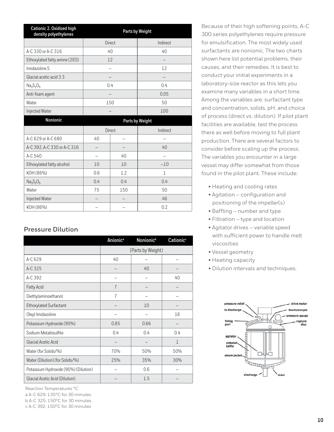| Cationic 2. Oxidized high<br>density polyethylenes |     |               | Parts by Weight |
|----------------------------------------------------|-----|---------------|-----------------|
|                                                    |     | Direct        | Indirect        |
| A-C 330 or A-C 316                                 |     | 40            | 40              |
| Ethoxylated fatty amine (2EO)                      |     | 12            | —               |
| Imidazoline S                                      |     |               | 12              |
| Glacial acetic acid 3 3                            |     |               |                 |
| $Na2S2O5$                                          |     | 0.4           | 0.4             |
| Anti-foam agent                                    |     |               | 0.05            |
| Water                                              |     | 150           | 50              |
| Injected Water                                     |     |               | 100             |
| Nonionic                                           |     |               | Parts by Weight |
|                                                    |     | <b>Direct</b> | Indirect        |
| A-C 629 or A-C 680                                 | 40  |               |                 |
| A-C 392, A-C 330 or A-C 316                        |     |               | 40              |
| A-C $540$                                          |     | 40            |                 |
| Ethoxylated fatty alcohol                          | 10  | 10            | $-10$           |
| KOH (86%)                                          | 0.6 | 1.2           | 1               |
| $Na2S2O5$                                          | 0.4 | 0.4           | 0.4             |
| Water                                              | 75  | 150           | 50              |
| Injected Water                                     |     |               | 46              |
| KOH (86%)                                          |     |               | 0.2             |

#### **Pressure Dilution**

|                                      | <b>Anionic<sup>a</sup></b> | Nonionic <sup>b</sup> | Cationic <sup>c</sup> |
|--------------------------------------|----------------------------|-----------------------|-----------------------|
|                                      |                            | (Parts by Weight)     |                       |
| A-C 629                              | 40                         |                       |                       |
| A-C 325                              |                            | 40                    |                       |
| A-C 392                              |                            |                       | 40                    |
| <b>Fatty Acid</b>                    | $\overline{7}$             |                       |                       |
| Diethylaminoethanol                  | 7                          |                       |                       |
| Ethoxylated Surfactant               |                            | 10                    |                       |
| Oleyl Imidazoline                    |                            |                       | 16                    |
| Potassium Hydroxide (90%)            | 0.85                       | 0.66                  |                       |
| Sodium Metabisulfite                 | 0.4                        | 0.4                   | 0.4                   |
| <b>Glacial Acetic Acid</b>           |                            |                       | $\mathbf{1}$          |
| Water (for Solids/%)                 | 70%                        | 50%                   | 50%                   |
| Water (Dilution) (for Solids/%)      | 25%                        | 35%                   | 30%                   |
| Potassium Hydroxide (90%) (Dilution) |                            | 0.6                   |                       |
| Glacial Acetic Acid (Dilution)       |                            | 1.5                   |                       |

Reaction Temperatures °C

a A-C 629; 135°C for 30 minutes

b A-C 325; 150°C for 30 minutes

c A-C 392; 150°C for 30 minutes

Because of their high softening points, A-C 300 series polyethylenes require pressure for emulsification. The most widely used surfactants are nonionic. The two charts shown here list potential problems, their causes, and their remedies. It is best to conduct your initial experiments in a laboratory-size reactor as this lets you examine many variables in a short time. Among the variables are: surfactant type and concentration, solids, pH, and choice of process (direct vs. dilution). If pilot plant facilities are available, test the process there as well before moving to full plant production. There are several factors to consider before scaling up the process. The variables you encounter in a large vessel may differ somewhat from those found in the pilot plant. These include:

- Heating and cooling rates
- Agitation configuration and positioning of the impeller(s)
- Baffling number and type
- Filtration type and location
- Agitator drives variable speed with sufficient power to handle melt viscosities
- Vessel geometry
- Heating capacity
- Dilution intervals and techniques.